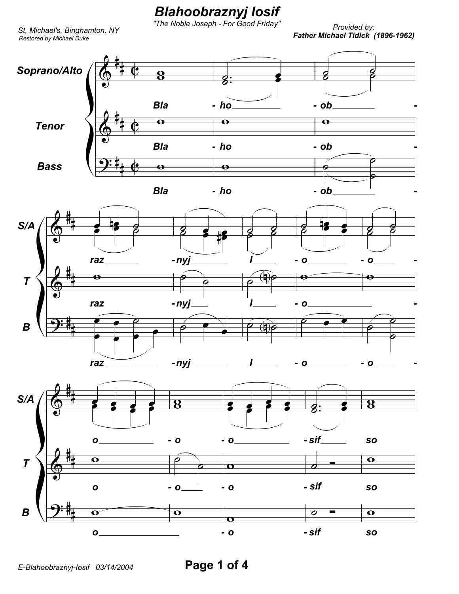## *Blahoobraznyj Iosif*

*"The Noble Joseph - For Good Friday"*

*Restored by Michael Duke*

*Provided by: Father Michael Tidick (1896-1962) St, Michael's, Binghamton, NY*

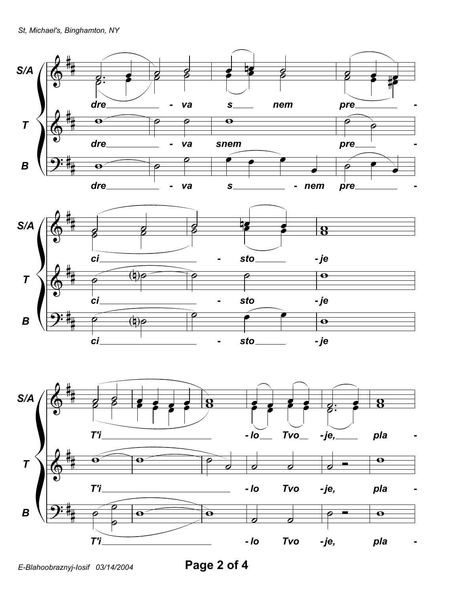

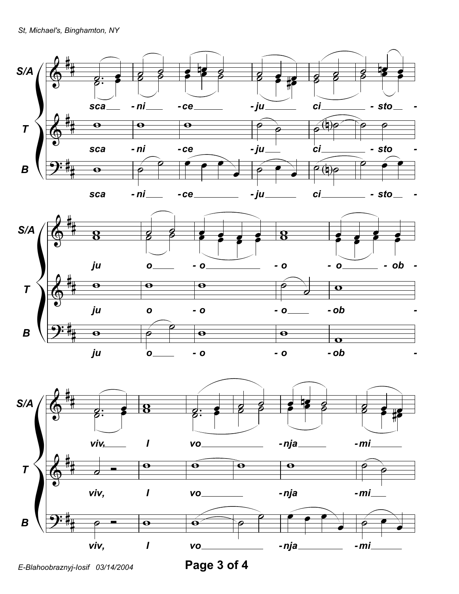





*E-Blahoobraznyj-Iosif 03/14/2004* **Page 3 of 4**